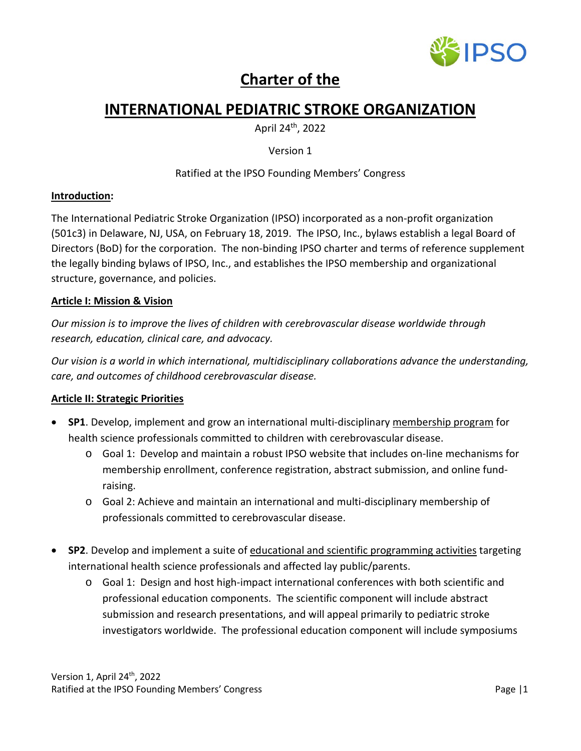

# **Charter of the**

# **INTERNATIONAL PEDIATRIC STROKE ORGANIZATION**

April 24th, 2022

Version 1

# Ratified at the IPSO Founding Members' Congress

#### **Introduction:**

The International Pediatric Stroke Organization (IPSO) incorporated as a non-profit organization (501c3) in Delaware, NJ, USA, on February 18, 2019. The IPSO, Inc., bylaws establish a legal Board of Directors (BoD) for the corporation. The non-binding IPSO charter and terms of reference supplement the legally binding bylaws of IPSO, Inc., and establishes the IPSO membership and organizational structure, governance, and policies.

# **Article I: Mission & Vision**

*Our mission is to improve the lives of children with cerebrovascular disease worldwide through research, education, clinical care, and advocacy.*

*Our vision is a world in which international, multidisciplinary collaborations advance the understanding, care, and outcomes of childhood cerebrovascular disease.*

# **Article II: Strategic Priorities**

- **SP1**. Develop, implement and grow an international multi-disciplinary membership program for health science professionals committed to children with cerebrovascular disease.
	- o Goal 1: Develop and maintain a robust IPSO website that includes on-line mechanisms for membership enrollment, conference registration, abstract submission, and online fundraising.
	- o Goal 2: Achieve and maintain an international and multi-disciplinary membership of professionals committed to cerebrovascular disease.
- **SP2**. Develop and implement a suite of educational and scientific programming activities targeting international health science professionals and affected lay public/parents.
	- o Goal 1: Design and host high-impact international conferences with both scientific and professional education components. The scientific component will include abstract submission and research presentations, and will appeal primarily to pediatric stroke investigators worldwide. The professional education component will include symposiums